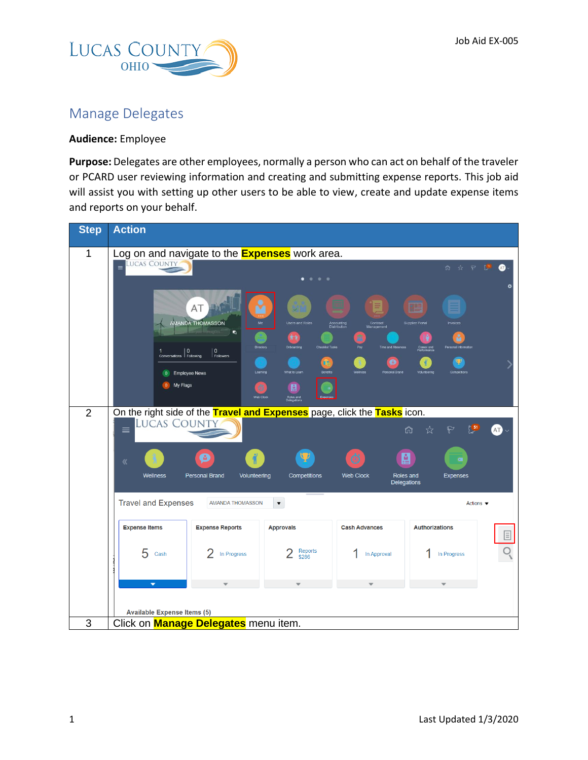

## Manage Delegates

## **Audience:** Employee

**Purpose:** Delegates are other employees, normally a person who can act on behalf of the traveler or PCARD user reviewing information and creating and submitting expense reports. This job aid will assist you with setting up other users to be able to view, create and update expense items and reports on your behalf.

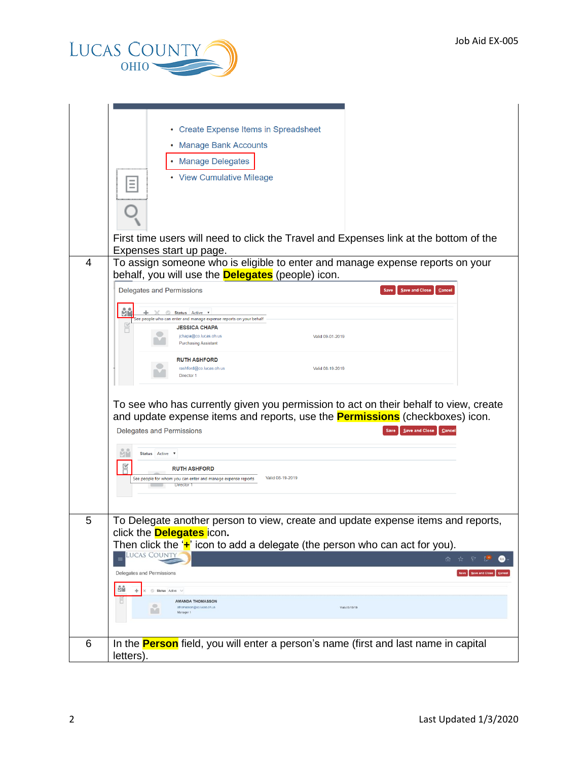

|   | • Create Expense Items in Spreadsheet                                                                                                     |
|---|-------------------------------------------------------------------------------------------------------------------------------------------|
|   | • Manage Bank Accounts                                                                                                                    |
|   | • Manage Delegates                                                                                                                        |
|   | • View Cumulative Mileage<br>Ξ                                                                                                            |
|   |                                                                                                                                           |
|   |                                                                                                                                           |
|   |                                                                                                                                           |
|   | First time users will need to click the Travel and Expenses link at the bottom of the                                                     |
|   | Expenses start up page.                                                                                                                   |
| 4 | To assign someone who is eligible to enter and manage expense reports on your<br>behalf, you will use the <b>Delegates</b> (people) icon. |
|   | Delegates and Permissions<br>Save and Close<br>Cancel<br>Save                                                                             |
|   |                                                                                                                                           |
|   | ЙŮ<br>Status Active v<br>See people who can enter and manage expense reports on your behalf                                               |
|   | $\triangledown$<br><b>JESSICA CHAPA</b><br>ō<br>jchapa@co.lucas.oh.us<br>Valid 09-01-2019                                                 |
|   | <b>Purchasing Assistant</b>                                                                                                               |
|   | <b>RUTH ASHFORD</b>                                                                                                                       |
|   | rashford@co.lucas.oh.us<br>Valid 08-19-2019<br>Director 1                                                                                 |
|   |                                                                                                                                           |
|   | To see who has currently given you permission to act on their behalf to view, create                                                      |
|   | and update expense items and reports, use the <b>Permissions</b> (checkboxes) icon.                                                       |
|   | Delegates and Permissions<br>Save and Close<br>Cancel<br>Save                                                                             |
|   | Status Active v                                                                                                                           |
|   | F<br><b>RUTH ASHFORD</b>                                                                                                                  |
|   | Valid 08-19-2019<br>See people for whom you can enter and manage expense reports<br><b>Director 1</b>                                     |
|   |                                                                                                                                           |
|   |                                                                                                                                           |
| 5 | To Delegate another person to view, create and update expense items and reports,                                                          |
|   | click the <b>Delegates</b> icon.<br>Then click the ' $\div$ ' icon to add a delegate (the person who can act for you).                    |
|   | <b>LUCAS COUNTY</b><br>血☆P♪<br>$\equiv$                                                                                                   |
|   | Delegates and Permissions<br>Save Save and Close                                                                                          |
|   | ůй                                                                                                                                        |
|   | Status Active V<br>o<br><b>AMANDA THOMASSON</b>                                                                                           |
|   | athomasson@co.lucas.oh.us<br>Valid 8/19/19<br>m<br>Manager 1                                                                              |
|   |                                                                                                                                           |
| 6 | In the <b>Person</b> field, you will enter a person's name (first and last name in capital                                                |
|   | letters).                                                                                                                                 |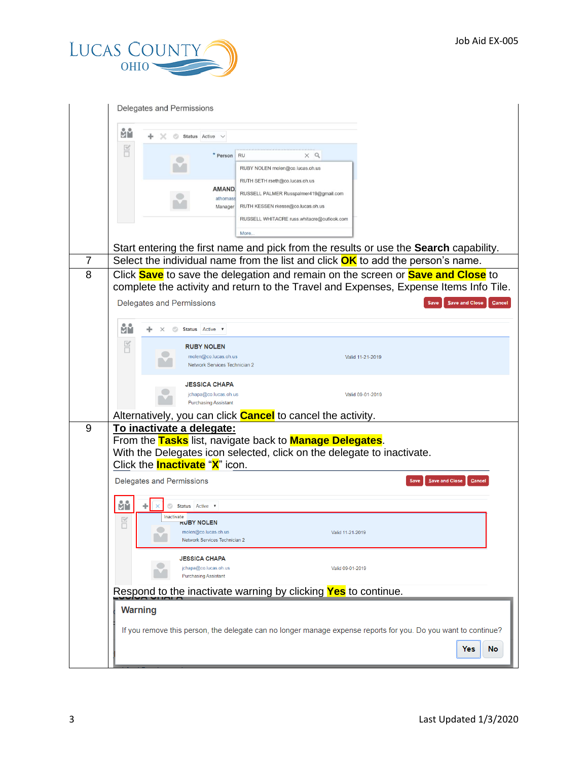

|   | Delegates and Permissions                                                                                                                                                                                       |  |  |
|---|-----------------------------------------------------------------------------------------------------------------------------------------------------------------------------------------------------------------|--|--|
|   | ůй<br>Status Active                                                                                                                                                                                             |  |  |
|   | F<br>* Person<br>$\times$ Q<br><b>RU</b><br>RUBY NOLEN rnolen@co.lucas.oh.us                                                                                                                                    |  |  |
|   | RUTH SETH rseth@co.lucas.oh.us<br><b>AMAND</b><br>RUSSELL PALMER Russpalmer419@gmail.com<br>athomass<br>RUTH KESSEN rkesse@co.lucas.oh.us<br>Manager                                                            |  |  |
|   | RUSSELL WHITACRE russ.whitacre@outlook.com<br>More                                                                                                                                                              |  |  |
| 7 | Start entering the first name and pick from the results or use the <b>Search</b> capability.                                                                                                                    |  |  |
| 8 | Select the individual name from the list and click $OK$ to add the person's name.<br>Click Save to save the delegation and remain on the screen or Save and Close to                                            |  |  |
|   | complete the activity and return to the Travel and Expenses, Expense Items Info Tile.                                                                                                                           |  |  |
|   | Delegates and Permissions<br>Save and Close<br>Cancel<br>Save                                                                                                                                                   |  |  |
|   | Йů<br>Status Active ▼                                                                                                                                                                                           |  |  |
|   | E<br><b>RUBY NOLEN</b><br>molen@co.lucas.oh.us<br>Valid 11-21-2019<br>Network Services Technician 2                                                                                                             |  |  |
|   | JESSICA CHAPA<br>jchapa@co.lucas.oh.us<br>Valid 09-01-2019<br><b>Purchasing Assistant</b>                                                                                                                       |  |  |
|   | Alternatively, you can click <b>Cancel</b> to cancel the activity.                                                                                                                                              |  |  |
| 9 | To inactivate a delegate:<br>From the Tasks list, navigate back to <b>Manage Delegates</b> .<br>With the Delegates icon selected, click on the delegate to inactivate.<br>Click the <b>Inactivate</b> "X" icon. |  |  |
|   | Delegates and Permissions<br>Save and Close<br>Cancel<br>Save                                                                                                                                                   |  |  |
|   | ЙŮ<br>٠<br>Status Active v<br>Inactivate                                                                                                                                                                        |  |  |
|   | $\mathbb{R}$<br><b>RUBY NOLEN</b><br>rnolen@co.lucas.oh.us<br>Valid 11-21-2019<br>Network Services Technician 2                                                                                                 |  |  |
|   | <b>JESSICA CHAPA</b><br>jchapa@co.lucas.oh.us<br>Valid 09-01-2019<br><b>Purchasing Assistant</b>                                                                                                                |  |  |
|   | Respond to the inactivate warning by clicking <b>Yes</b> to continue.                                                                                                                                           |  |  |
|   | <b>Warning</b>                                                                                                                                                                                                  |  |  |
|   | If you remove this person, the delegate can no longer manage expense reports for you. Do you want to continue?<br>No<br>Yes                                                                                     |  |  |